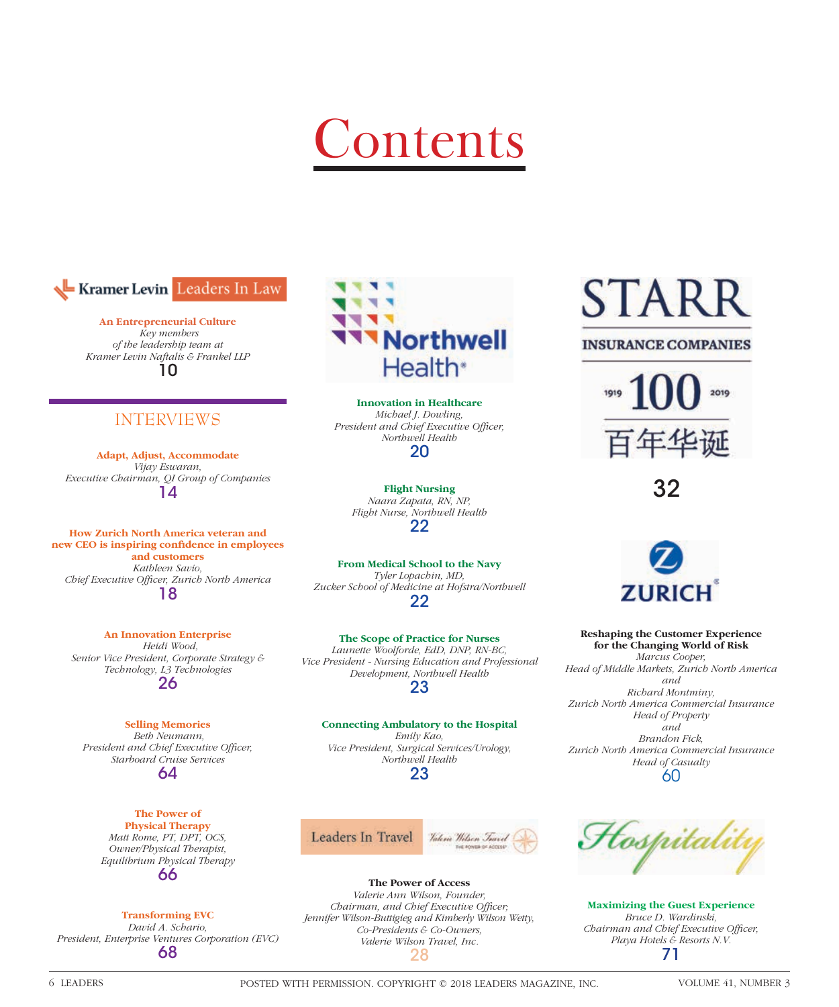# Contents



**An Entrepreneurial Culture**  *Key members of the leadership team at Kramer Levin Naftalis & Frankel LLP* 10

## INTERVIEWS

**Adapt, Adjust, Accommodate** *Vijay Eswaran, Executive Chairman, QI Group of Companies* 14

**How Zurich North America veteran and**  new CEO is inspiring confidence in employees **and customers** *Kathleen Savio, Chief Executive Offi cer, Zurich North America* 18

**An Innovation Enterprise**  *Heidi Wood, Senior Vice President, Corporate Strategy & Technology, L3 Technologies* 26

**Selling Memories**  *Beth Neumann,*  President and Chief Executive Officer, *Starboard Cruise Services* 64

> **The Power of Physical Therapy** *Matt Rome, PT, DPT, OCS, Owner/Physical Therapist, Equilibrium Physical Therapy* 66

### **Transforming EVC**

*David A. Schario, President, Enterprise Ventures Corporation (EVC)* 68



**Innovation in Healthcare** *Michael J. Dowling,*  President and Chief Executive Officer, *Northwell Health* 20

**Flight Nursing** *Naara Zapata, RN, NP, Flight Nurse, Northwell Health* 22

**From Medical School to the Navy** *Tyler Lopachin, MD, Zucker School of Medicine at Hofstra/Northwell* 22

**The Scope of Practice for Nurses** *Launette Woolforde, EdD, DNP, RN-BC, Vice President - Nursing Education and Professional Development, Northwell Health*

23

### **Connecting Ambulatory to the Hospital**

*Emily Kao, Vice President, Surgical Services/Urology, Northwell Health* 23



**The Power of Access** *Valerie Ann Wilson, Founder, Chairman, and Chief Executive Officer; Jennifer Wilson-Buttigieg and Kimberly Wilson Wetty, Co-Presidents & Co-Owners, Valerie Wilson Travel, Inc.* 28

# STAR

## **INSURANCE COMPANIES**



32



**Reshaping the Customer Experience for the Changing World of Risk** *Marcus Cooper, Head of Middle Markets, Zurich North America and Richard Montminy, Zurich North America Commercial Insurance Head of Property and Brandon Fick, Zurich North America Commercial Insurance Head of Casualty* 60



**Maximizing the Guest Experience** *Bruce D. Wardinski, Chairman and Chief Executive Officer, Playa Hotels & Resorts N.V.* 71

6 LEADERS POSTED WITH PERMISSION. COPYRIGHT © 2018 LEADERS MAGAZINE, INC. VOLUME 41, NUMBER 3